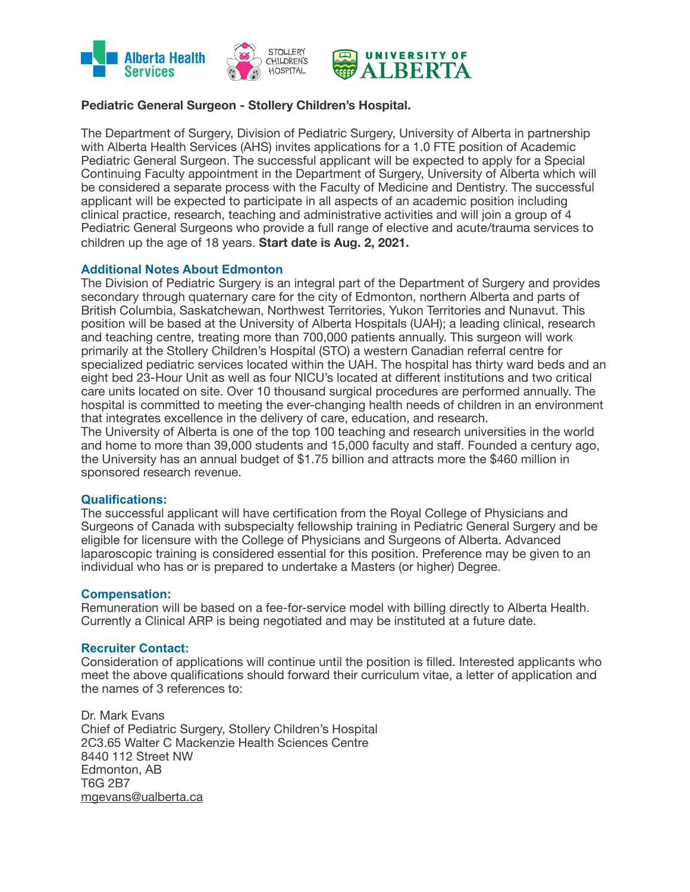



# **Pediatric General Surgeon - Stollery Children's Hospital.**

The Department of Surgery, Division of Pediatric Surgery, University of Alberta in partnership with Alberta Health Services (AHS) invites applications for a 1.0 FTE position of Academic Pediatric General Surgeon. The successful applicant will be expected to apply for a Special Continuing Faculty appointment in the Department of Surgery, University of Alberta which will be considered a separate process with the Faculty of Medicine and Dentistry. The successful applicant will be expected to participate in all aspects of an academic position including clinical practice, research, teaching and administrative activities and will join a group of 4 Pediatric General Surgeons who provide a full range of elective and acute/trauma services to children up the age of 18 years. **Start date is Aug. 2, 2021.**

## **Additional Notes About Edmonton**

The Division of Pediatric Surgery is an integral part of the Department of Surgery and provides secondary through quaternary care for the city of Edmonton, northern Alberta and parts of British Columbia, Saskatchewan, Northwest Territories, Yukon Territories and Nunavut. This position will be based at the University of Alberta Hospitals (UAH); a leading clinical, research and teaching centre, treating more than 700,000 patients annually. This surgeon will work primarily at the Stollery Children's Hospital (STO) a western Canadian referral centre for specialized pediatric services located within the UAH. The hospital has thirty ward beds and an eight bed 23-Hour Unit as well as four NICU's located at different institutions and two critical care units located on site. Over 10 thousand surgical procedures are performed annually. The hospital is committed to meeting the ever-changing health needs of children in an environment that integrates excellence in the delivery of care, education, and research.

The University of Alberta is one of the top 100 teaching and research universities in the world and home to more than 39,000 students and 15,000 faculty and staff. Founded a century ago, the University has an annual budget of \$1.75 billion and attracts more the \$460 million in sponsored research revenue.

### **Qualifications:**

The successful applicant will have certification from the Royal College of Physicians and Surgeons of Canada with subspecialty fellowship training in Pediatric General Surgery and be eligible for licensure with the College of Physicians and Surgeons of Alberta. Advanced laparoscopic training is considered essential for this position. Preference may be given to an individual who has or is prepared to undertake a Masters (or higher) Degree.

### **Compensation:**

Remuneration will be based on a fee-for-service model with billing directly to Alberta Health. Currently a Clinical ARP is being negotiated and may be instituted at a future date.

### **Recruiter Contact:**

Consideration of applications will continue until the position is filled. Interested applicants who meet the above qualifications should forward their curriculum vitae, a letter of application and the names of 3 references to:

Dr. Mark Evans Chief of Pediatric Surgery, Stollery Children's Hospital 2C3.65 Walter C Mackenzie Health Sciences Centre 8440 112 Street NW Edmonton, AB T6G 2B7 mgevans@ualberta.ca